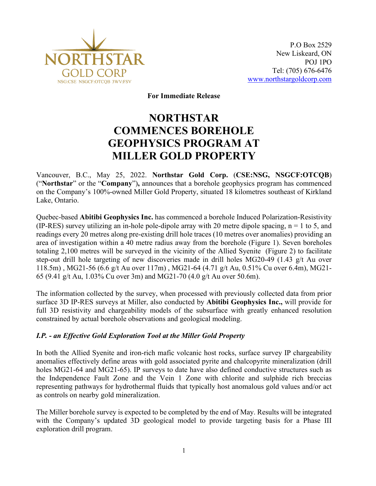

**For Immediate Release**

# **NORTHSTAR COMMENCES BOREHOLE GEOPHYSICS PROGRAM AT MILLER GOLD PROPERTY**

Vancouver, B.C., May 25, 2022. **Northstar Gold Corp.** (**CSE:NSG, NSGCF:OTCQB**) ("**Northstar**" or the "**Company**")**,** announces that a borehole geophysics program has commenced on the Company's 100%-owned Miller Gold Property, situated 18 kilometres southeast of Kirkland Lake, Ontario.

Quebec-based **Abitibi Geophysics Inc.** has commenced a borehole Induced Polarization-Resistivity (IP-RES) survey utilizing an in-hole pole-dipole array with 20 metre dipole spacing,  $n = 1$  to 5, and readings every 20 metres along pre-existing drill hole traces (10 metres over anomalies) providing an area of investigation within a 40 metre radius away from the borehole (Figure 1). Seven boreholes totaling 2,100 metres will be surveyed in the vicinity of the Allied Syenite (Figure 2) to facilitate step-out drill hole targeting of new discoveries made in drill holes MG20-49 (1.43 g/t Au over 118.5m) , MG21-56 (6.6 g/t Au over 117m) , MG21-64 (4.71 g/t Au, 0.51% Cu over 6.4m), MG21- 65 (9.41 g/t Au, 1.03% Cu over 3m) and MG21-70 (4.0 g/t Au over 50.6m).

The information collected by the survey, when processed with previously collected data from prior surface 3D IP-RES surveys at Miller, also conducted by **Abitibi Geophysics Inc.,** will provide for full 3D resistivity and chargeability models of the subsurface with greatly enhanced resolution constrained by actual borehole observations and geological modeling.

## *I.P. - an Effective Gold Exploration Tool at the Miller Gold Property*

In both the Allied Syenite and iron-rich mafic volcanic host rocks, surface survey IP chargeability anomalies effectively define areas with gold associated pyrite and chalcopyrite mineralization (drill holes MG21-64 and MG21-65). IP surveys to date have also defined conductive structures such as the Independence Fault Zone and the Vein 1 Zone with chlorite and sulphide rich breccias representing pathways for hydrothermal fluids that typically host anomalous gold values and/or act as controls on nearby gold mineralization.

The Miller borehole survey is expected to be completed by the end of May. Results will be integrated with the Company's updated 3D geological model to provide targeting basis for a Phase III exploration drill program.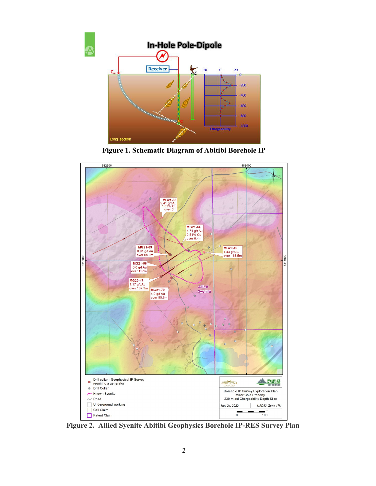





**Figure 2. Allied Syenite Abitibi Geophysics Borehole IP-RES Survey Plan**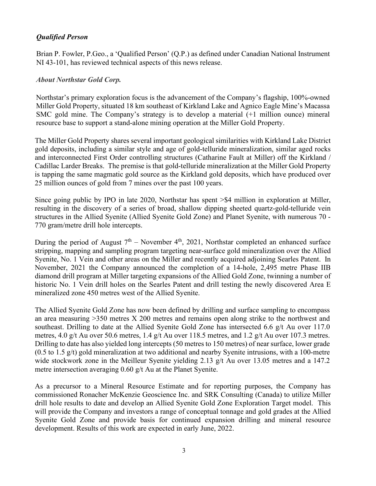# *Qualified Person*

Brian P. Fowler, P.Geo., a 'Qualified Person' (Q.P.) as defined under Canadian National Instrument NI 43-101, has reviewed technical aspects of this news release.

## *About Northstar Gold Corp.*

Northstar's primary exploration focus is the advancement of the Company's flagship, 100%-owned Miller Gold Property, situated 18 km southeast of Kirkland Lake and Agnico Eagle Mine's Macassa SMC gold mine. The Company's strategy is to develop a material (+1 million ounce) mineral resource base to support a stand-alone mining operation at the Miller Gold Property.

The Miller Gold Property shares several important geological similarities with Kirkland Lake District gold deposits, including a similar style and age of gold-telluride mineralization, similar aged rocks and interconnected First Order controlling structures (Catharine Fault at Miller) off the Kirkland / Cadillac Larder Breaks. The premise is that gold-telluride mineralization at the Miller Gold Property is tapping the same magmatic gold source as the Kirkland gold deposits, which have produced over 25 million ounces of gold from 7 mines over the past 100 years.

Since going public by IPO in late 2020, Northstar has spent >\$4 million in exploration at Miller, resulting in the discovery of a series of broad, shallow dipping sheeted quartz-gold-telluride vein structures in the Allied Syenite (Allied Syenite Gold Zone) and Planet Syenite, with numerous 70 - 770 gram/metre drill hole intercepts.

During the period of August  $7<sup>th</sup>$  – November 4<sup>th</sup>, 2021, Northstar completed an enhanced surface stripping, mapping and sampling program targeting near-surface gold mineralization over the Allied Syenite, No. 1 Vein and other areas on the Miller and recently acquired adjoining Searles Patent. In November, 2021 the Company announced the completion of a 14-hole, 2,495 metre Phase IIB diamond drill program at Miller targeting expansions of the Allied Gold Zone, twinning a number of historic No. 1 Vein drill holes on the Searles Patent and drill testing the newly discovered Area E mineralized zone 450 metres west of the Allied Syenite.

The Allied Syenite Gold Zone has now been defined by drilling and surface sampling to encompass an area measuring >350 metres X 200 metres and remains open along strike to the northwest and southeast. Drilling to date at the Allied Syenite Gold Zone has intersected 6.6 g/t Au over 117.0 metres, 4.0 g/t Au over 50.6 metres, 1.4 g/t Au over 118.5 metres, and 1.2 g/t Au over 107.3 metres. Drilling to date has also yielded long intercepts (50 metres to 150 metres) of near surface, lower grade  $(0.5 \text{ to } 1.5 \text{ g/t})$  gold mineralization at two additional and nearby Syenite intrusions, with a 100-metre wide stockwork zone in the Meilleur Syenite yielding 2.13 g/t Au over 13.05 metres and a 147.2 metre intersection averaging 0.60 g/t Au at the Planet Syenite.

As a precursor to a Mineral Resource Estimate and for reporting purposes, the Company has commissioned Ronacher McKenzie Geoscience Inc. and SRK Consulting (Canada) to utilize Miller drill hole results to date and develop an Allied Syenite Gold Zone Exploration Target model. This will provide the Company and investors a range of conceptual tonnage and gold grades at the Allied Syenite Gold Zone and provide basis for continued expansion drilling and mineral resource development. Results of this work are expected in early June, 2022.